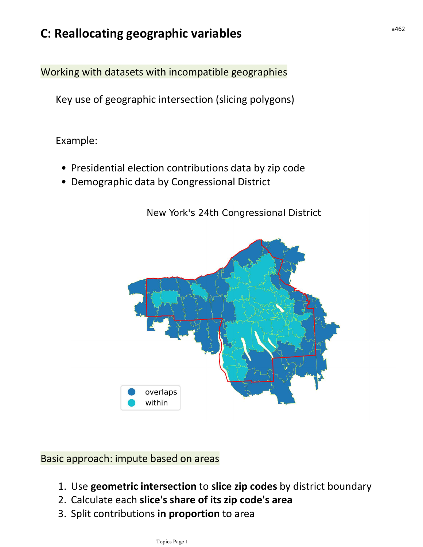## C: Reallocating geographic variables

Working with datasets with incompatible geographies

Key use of geographic intersection (slicing polygons)

Example:

- Presidential election contributions data by zip code
- Demographic data by Congressional District

New York's 24th Congressional District



Basic approach: impute based on areas

- 1. Use geometric intersection to slice zip codes by district boundary
- 2. Calculate each slice's share of its zip code's area
- 3. Split contributions in proportion to area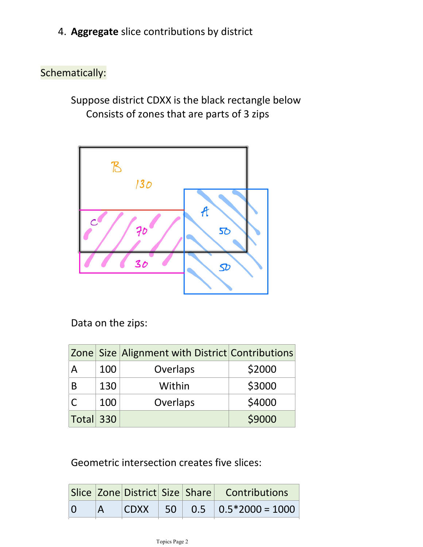4. Aggregate slice contributions by district

## Schematically:

Suppose district CDXX is the black rectangle below Consists of zones that are parts of 3 zips



Data on the zips:

|           |     | Zone Size Alignment with District Contributions |        |
|-----------|-----|-------------------------------------------------|--------|
| А         | 100 | Overlaps                                        | \$2000 |
| B         | 130 | Within                                          | \$3000 |
|           | 100 | Overlaps                                        | \$4000 |
| Total 330 |     |                                                 | \$9000 |

Geometric intersection creates five slices:

|  |  | Slice Zone District Size Share Contributions |
|--|--|----------------------------------------------|
|  |  | $ CDXX $ 50 0.5 0.5 $ 0.5*2000 = 1000$       |